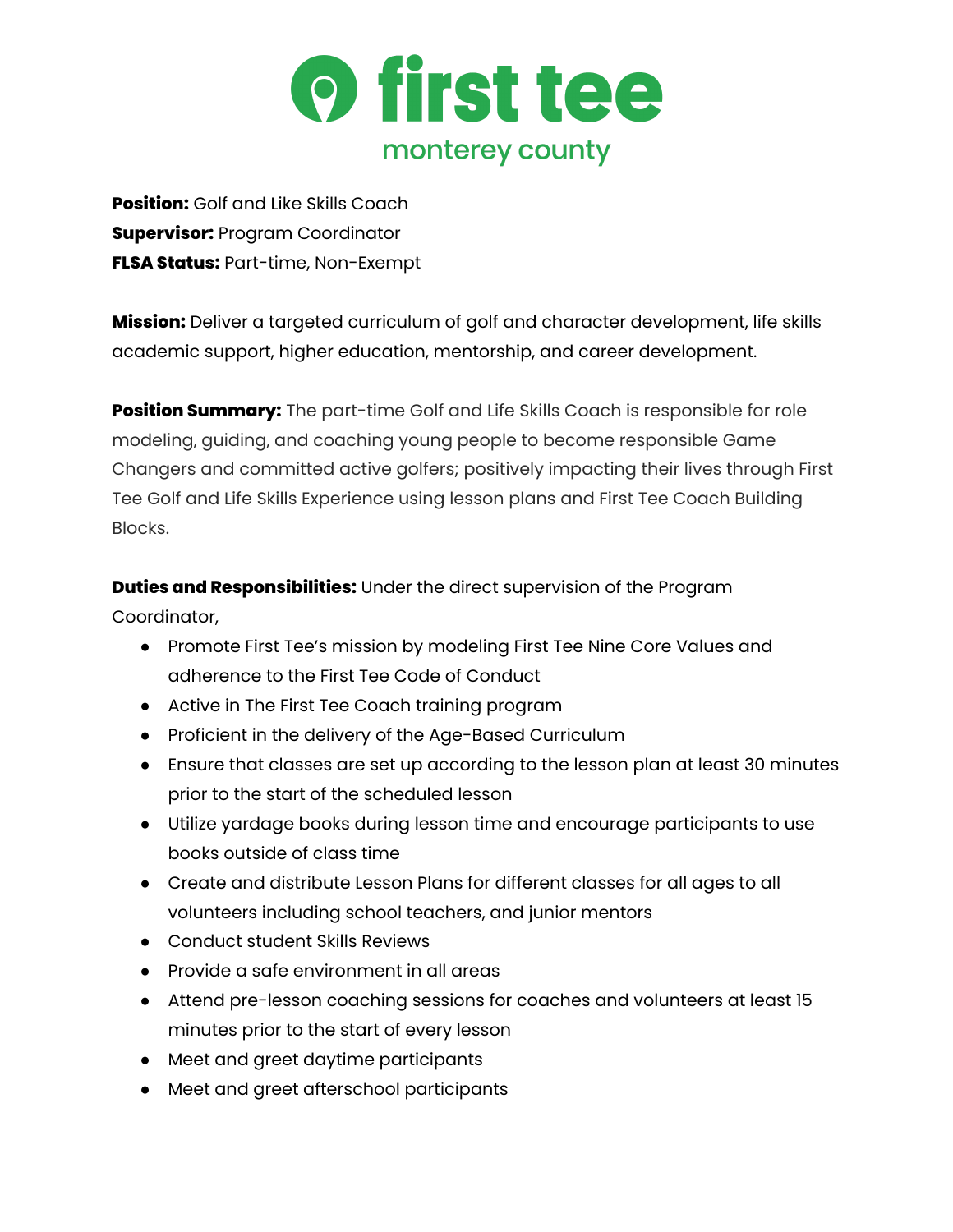

**Position:** Golf and Like Skills Coach **Supervisor:** Program Coordinator **FLSA Status:** Part-time, Non-Exempt

**Mission:** Deliver a targeted curriculum of golf and character development, life skills academic support, higher education, mentorship, and career development.

**Position Summary:** The part-time Golf and Life Skills Coach is responsible for role modeling, guiding, and coaching young people to become responsible Game Changers and committed active golfers; positively impacting their lives through First Tee Golf and Life Skills Experience using lesson plans and First Tee Coach Building Blocks.

**Duties and Responsibilities:** Under the direct supervision of the Program Coordinator,

- Promote First Tee's mission by modeling First Tee Nine Core Values and adherence to the First Tee Code of Conduct
- Active in The First Tee Coach training program
- Proficient in the delivery of the Age-Based Curriculum
- Ensure that classes are set up according to the lesson plan at least 30 minutes prior to the start of the scheduled lesson
- Utilize yardage books during lesson time and encourage participants to use books outside of class time
- Create and distribute Lesson Plans for different classes for all ages to all volunteers including school teachers, and junior mentors
- Conduct student Skills Reviews
- Provide a safe environment in all areas
- Attend pre-lesson coaching sessions for coaches and volunteers at least 15 minutes prior to the start of every lesson
- Meet and greet daytime participants
- Meet and greet afterschool participants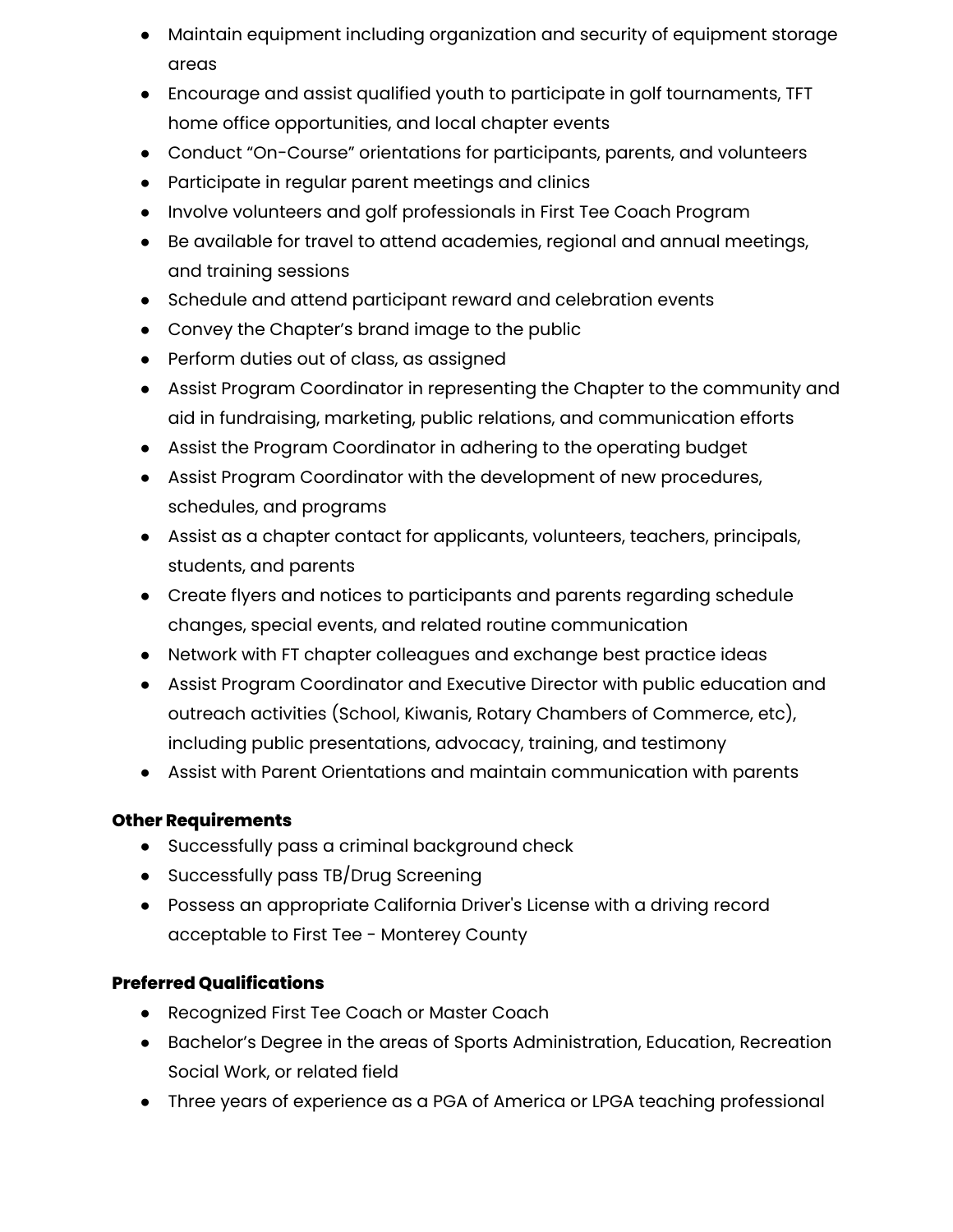- Maintain equipment including organization and security of equipment storage areas
- Encourage and assist qualified youth to participate in golf tournaments, TFT home office opportunities, and local chapter events
- Conduct "On-Course" orientations for participants, parents, and volunteers
- Participate in regular parent meetings and clinics
- Involve volunteers and golf professionals in First Tee Coach Program
- Be available for travel to attend academies, regional and annual meetings, and training sessions
- Schedule and attend participant reward and celebration events
- Convey the Chapter's brand image to the public
- Perform duties out of class, as assigned
- Assist Program Coordinator in representing the Chapter to the community and aid in fundraising, marketing, public relations, and communication efforts
- Assist the Program Coordinator in adhering to the operating budget
- Assist Program Coordinator with the development of new procedures, schedules, and programs
- Assist as a chapter contact for applicants, volunteers, teachers, principals, students, and parents
- Create flyers and notices to participants and parents regarding schedule changes, special events, and related routine communication
- Network with FT chapter colleagues and exchange best practice ideas
- Assist Program Coordinator and Executive Director with public education and outreach activities (School, Kiwanis, Rotary Chambers of Commerce, etc), including public presentations, advocacy, training, and testimony
- Assist with Parent Orientations and maintain communication with parents

## **Other Requirements**

- Successfully pass a criminal background check
- Successfully pass TB/Drug Screening
- Possess an appropriate California Driver's License with a driving record acceptable to First Tee - Monterey County

## **Preferred Qualifications**

- Recognized First Tee Coach or Master Coach
- Bachelor's Degree in the areas of Sports Administration, Education, Recreation Social Work, or related field
- Three years of experience as a PGA of America or LPGA teaching professional